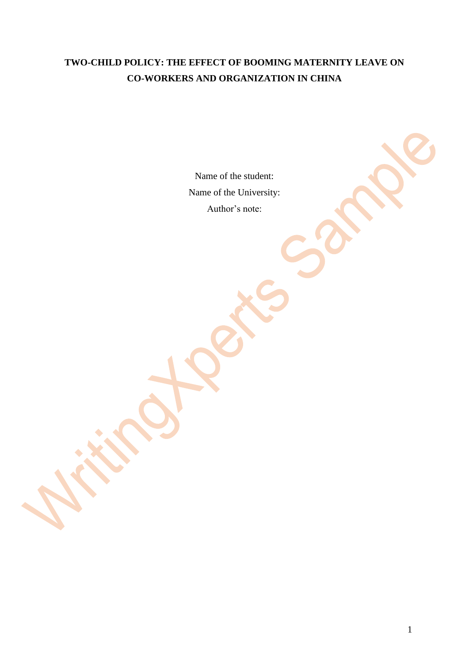# **TWO-CHILD POLICY: THE EFFECT OF BOOMING MATERNITY LEAVE ON CO-WORKERS AND ORGANIZATION IN CHINA**

Name of the student: Name of the University: Author's note: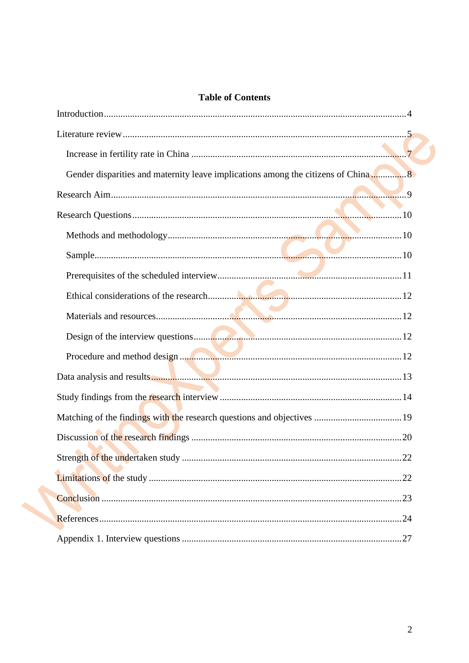# **Table of Contents**

| .22 |
|-----|
|     |
|     |
|     |
|     |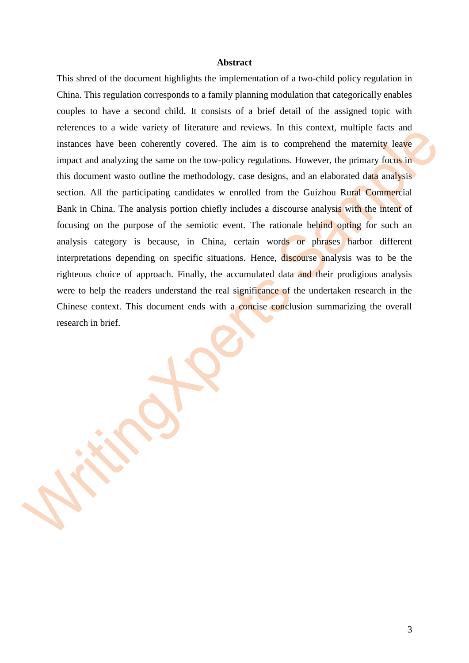#### **Abstract**

This shred of the document highlights the implementation of a two-child policy regulation in China. This regulation corresponds to a family planning modulation that categorically enables couples to have a second child. It consists of a brief detail of the assigned topic with references to a wide variety of literature and reviews. In this context, multiple facts and instances have been coherently covered. The aim is to comprehend the maternity leave impact and analyzing the same on the tow-policy regulations. However, the primary focus in this document wasto outline the methodology, case designs, and an elaborated data analysis section. All the participating candidates w enrolled from the Guizhou Rural Commercial Bank in China. The analysis portion chiefly includes a discourse analysis with the intent of focusing on the purpose of the semiotic event. The rationale behind opting for such an analysis category is because, in China, certain words or phrases harbor different interpretations depending on specific situations. Hence, discourse analysis was to be the righteous choice of approach. Finally, the accumulated data and their prodigious analysis were to help the readers understand the real significance of the undertaken research in the Chinese context. This document ends with a concise conclusion summarizing the overall research in brief.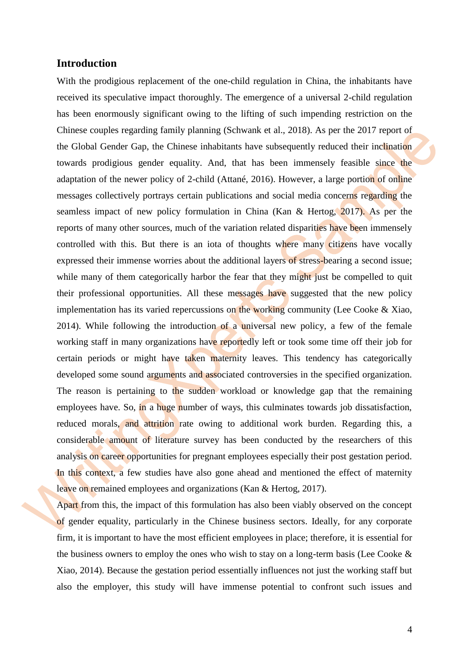## **Introduction**

<span id="page-3-0"></span>With the prodigious replacement of the one-child regulation in China, the inhabitants have received its speculative impact thoroughly. The emergence of a universal 2-child regulation has been enormously significant owing to the lifting of such impending restriction on the Chinese couples regarding family planning (Schwank et al., 2018). As per the 2017 report of the Global Gender Gap, the Chinese inhabitants have subsequently reduced their inclination towards prodigious gender equality. And, that has been immensely feasible since the adaptation of the newer policy of 2-child (Attané, 2016). However, a large portion of online messages collectively portrays certain publications and social media concerns regarding the seamless impact of new policy formulation in China (Kan & Hertog, 2017). As per the reports of many other sources, much of the variation related disparities have been immensely controlled with this. But there is an iota of thoughts where many citizens have vocally expressed their immense worries about the additional layers of stress-bearing a second issue; while many of them categorically harbor the fear that they might just be compelled to quit their professional opportunities. All these messages have suggested that the new policy implementation has its varied repercussions on the working community (Lee Cooke & Xiao, 2014). While following the introduction of a universal new policy, a few of the female working staff in many organizations have reportedly left or took some time off their job for certain periods or might have taken maternity leaves. This tendency has categorically developed some sound arguments and associated controversies in the specified organization. The reason is pertaining to the sudden workload or knowledge gap that the remaining employees have. So, in a huge number of ways, this culminates towards job dissatisfaction, reduced morals, and attrition rate owing to additional work burden. Regarding this, a considerable amount of literature survey has been conducted by the researchers of this analysis on career opportunities for pregnant employees especially their post gestation period. In this context, a few studies have also gone ahead and mentioned the effect of maternity leave on remained employees and organizations (Kan & Hertog, 2017).

Apart from this, the impact of this formulation has also been viably observed on the concept of gender equality, particularly in the Chinese business sectors. Ideally, for any corporate firm, it is important to have the most efficient employees in place; therefore, it is essential for the business owners to employ the ones who wish to stay on a long-term basis (Lee Cooke & Xiao, 2014). Because the gestation period essentially influences not just the working staff but also the employer, this study will have immense potential to confront such issues and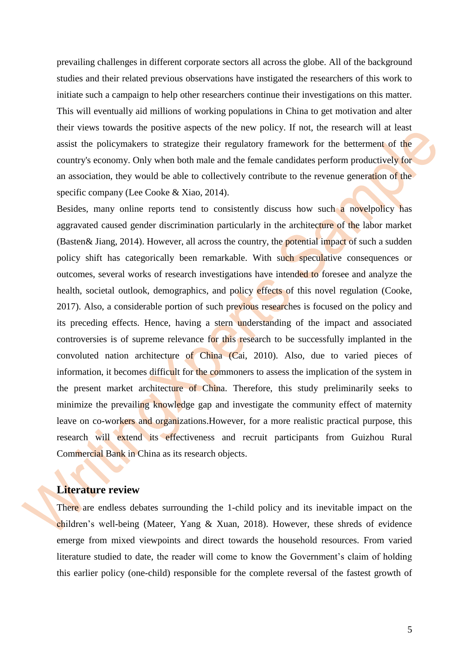prevailing challenges in different corporate sectors all across the globe. All of the background studies and their related previous observations have instigated the researchers of this work to initiate such a campaign to help other researchers continue their investigations on this matter. This will eventually aid millions of working populations in China to get motivation and alter their views towards the positive aspects of the new policy. If not, the research will at least assist the policymakers to strategize their regulatory framework for the betterment of the country's economy. Only when both male and the female candidates perform productively for an association, they would be able to collectively contribute to the revenue generation of the specific company (Lee Cooke & Xiao, 2014).

Besides, many online reports tend to consistently discuss how such a novelpolicy has aggravated caused gender discrimination particularly in the architecture of the labor market (Basten& Jiang, 2014). However, all across the country, the potential impact of such a sudden policy shift has categorically been remarkable. With such speculative consequences or outcomes, several works of research investigations have intended to foresee and analyze the health, societal outlook, demographics, and policy effects of this novel regulation (Cooke, 2017). Also, a considerable portion of such previous researches is focused on the policy and its preceding effects. Hence, having a stern understanding of the impact and associated controversies is of supreme relevance for this research to be successfully implanted in the convoluted nation architecture of China (Cai, 2010). Also, due to varied pieces of information, it becomes difficult for the commoners to assess the implication of the system in the present market architecture of China. Therefore, this study preliminarily seeks to minimize the prevailing knowledge gap and investigate the community effect of maternity leave on co-workers and organizations.However, for a more realistic practical purpose, this research will extend its effectiveness and recruit participants from Guizhou Rural Commercial Bank in China as its research objects.

# <span id="page-4-0"></span>**Literature review**

There are endless debates surrounding the 1-child policy and its inevitable impact on the children's well-being (Mateer, Yang & Xuan, 2018). However, these shreds of evidence emerge from mixed viewpoints and direct towards the household resources. From varied literature studied to date, the reader will come to know the Government's claim of holding this earlier policy (one-child) responsible for the complete reversal of the fastest growth of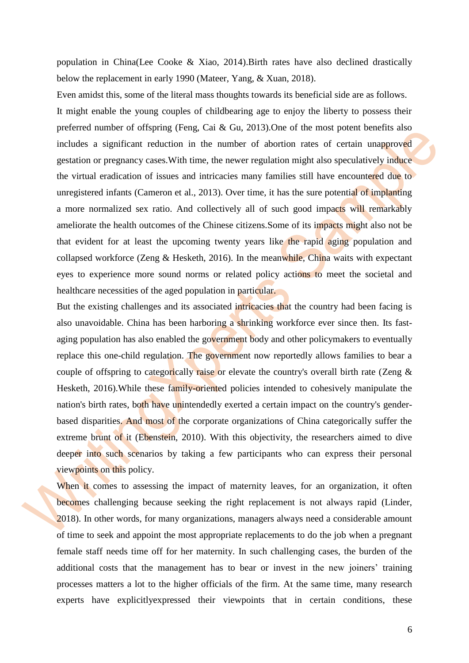population in China(Lee Cooke & Xiao, 2014).Birth rates have also declined drastically below the replacement in early 1990 (Mateer, Yang, & Xuan, 2018).

Even amidst this, some of the literal mass thoughts towards its beneficial side are as follows. It might enable the young couples of childbearing age to enjoy the liberty to possess their preferred number of offspring (Feng, Cai & Gu, 2013).One of the most potent benefits also includes a significant reduction in the number of abortion rates of certain unapproved gestation or pregnancy cases.With time, the newer regulation might also speculatively induce the virtual eradication of issues and intricacies many families still have encountered due to unregistered infants (Cameron et al., 2013). Over time, it has the sure potential of implanting a more normalized sex ratio. And collectively all of such good impacts will remarkably ameliorate the health outcomes of the Chinese citizens.Some of its impacts might also not be that evident for at least the upcoming twenty years like the rapid aging population and collapsed workforce (Zeng & Hesketh, 2016). In the meanwhile, China waits with expectant eyes to experience more sound norms or related policy actions to meet the societal and healthcare necessities of the aged population in particular.

But the existing challenges and its associated intricacies that the country had been facing is also unavoidable. China has been harboring a shrinking workforce ever since then. Its fastaging population has also enabled the government body and other policymakers to eventually replace this one-child regulation. The government now reportedly allows families to bear a couple of offspring to categorically raise or elevate the country's overall birth rate (Zeng  $\&$ Hesketh, 2016).While these family-oriented policies intended to cohesively manipulate the nation's birth rates, both have unintendedly exerted a certain impact on the country's genderbased disparities. And most of the corporate organizations of China categorically suffer the extreme brunt of it (Ebenstein, 2010). With this objectivity, the researchers aimed to dive deeper into such scenarios by taking a few participants who can express their personal viewpoints on this policy.

When it comes to assessing the impact of maternity leaves, for an organization, it often becomes challenging because seeking the right replacement is not always rapid (Linder, 2018). In other words, for many organizations, managers always need a considerable amount of time to seek and appoint the most appropriate replacements to do the job when a pregnant female staff needs time off for her maternity. In such challenging cases, the burden of the additional costs that the management has to bear or invest in the new joiners' training processes matters a lot to the higher officials of the firm. At the same time, many research experts have explicitlyexpressed their viewpoints that in certain conditions, these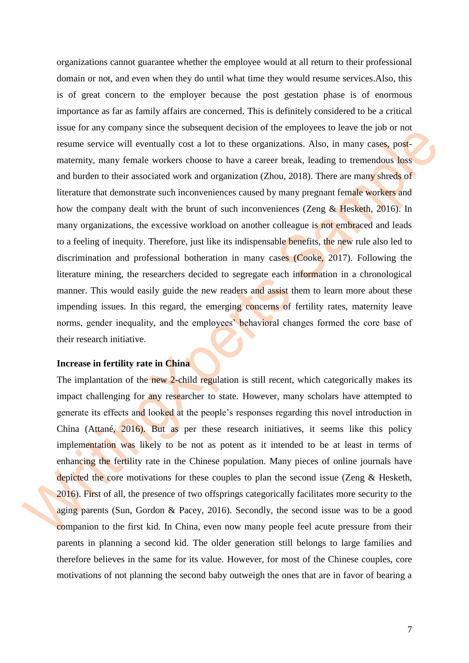organizations cannot guarantee whether the employee would at all return to their professional domain or not, and even when they do until what time they would resume services.Also, this is of great concern to the employer because the post gestation phase is of enormous importance as far as family affairs are concerned. This is definitely considered to be a critical issue for any company since the subsequent decision of the employees to leave the job or not resume service will eventually cost a lot to these organizations. Also, in many cases, postmaternity, many female workers choose to have a career break, leading to tremendous loss and burden to their associated work and organization (Zhou, 2018). There are many shreds of literature that demonstrate such inconveniences caused by many pregnant female workers and how the company dealt with the brunt of such inconveniences (Zeng  $& H \text{esketh}, 2016$ ). In many organizations, the excessive workload on another colleague is not embraced and leads to a feeling of inequity. Therefore, just like its indispensable benefits, the new rule also led to discrimination and professional botheration in many cases (Cooke, 2017). Following the literature mining, the researchers decided to segregate each information in a chronological manner. This would easily guide the new readers and assist them to learn more about these impending issues. In this regard, the emerging concerns of fertility rates, maternity leave norms, gender inequality, and the employees' behavioral changes formed the core base of their research initiative.

## <span id="page-6-0"></span>**Increase in fertility rate in China**

The implantation of the new 2-child regulation is still recent, which categorically makes its impact challenging for any researcher to state. However, many scholars have attempted to generate its effects and looked at the people's responses regarding this novel introduction in China (Attané, 2016). But as per these research initiatives, it seems like this policy implementation was likely to be not as potent as it intended to be at least in terms of enhancing the fertility rate in the Chinese population. Many pieces of online journals have depicted the core motivations for these couples to plan the second issue (Zeng & Hesketh, 2016). First of all, the presence of two offsprings categorically facilitates more security to the aging parents (Sun, Gordon & Pacey, 2016). Secondly, the second issue was to be a good companion to the first kid. In China, even now many people feel acute pressure from their parents in planning a second kid. The older generation still belongs to large families and therefore believes in the same for its value. However, for most of the Chinese couples, core motivations of not planning the second baby outweigh the ones that are in favor of bearing a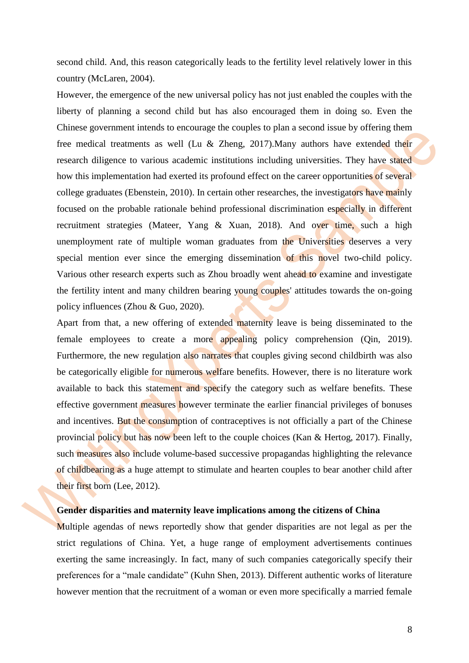second child. And, this reason categorically leads to the fertility level relatively lower in this country (McLaren, 2004).

However, the emergence of the new universal policy has not just enabled the couples with the liberty of planning a second child but has also encouraged them in doing so. Even the Chinese government intends to encourage the couples to plan a second issue by offering them free medical treatments as well (Lu & Zheng, 2017).Many authors have extended their research diligence to various academic institutions including universities. They have stated how this implementation had exerted its profound effect on the career opportunities of several college graduates (Ebenstein, 2010). In certain other researches, the investigators have mainly focused on the probable rationale behind professional discrimination especially in different recruitment strategies (Mateer, Yang & Xuan, 2018). And over time, such a high unemployment rate of multiple woman graduates from the Universities deserves a very special mention ever since the emerging dissemination of this novel two-child policy. Various other research experts such as Zhou broadly went ahead to examine and investigate the fertility intent and many children bearing young couples' attitudes towards the on-going policy influences (Zhou & Guo, 2020).

Apart from that, a new offering of extended maternity leave is being disseminated to the female employees to create a more appealing policy comprehension (Qin, 2019). Furthermore, the new regulation also narrates that couples giving second childbirth was also be categorically eligible for numerous welfare benefits. However, there is no literature work available to back this statement and specify the category such as welfare benefits. These effective government measures however terminate the earlier financial privileges of bonuses and incentives. But the consumption of contraceptives is not officially a part of the Chinese provincial policy but has now been left to the couple choices (Kan & Hertog, 2017). Finally, such measures also include volume-based successive propagandas highlighting the relevance of childbearing as a huge attempt to stimulate and hearten couples to bear another child after their first born (Lee, 2012).

## <span id="page-7-0"></span>**Gender disparities and maternity leave implications among the citizens of China**

Multiple agendas of news reportedly show that gender disparities are not legal as per the strict regulations of China. Yet, a huge range of employment advertisements continues exerting the same increasingly. In fact, many of such companies categorically specify their preferences for a "male candidate" (Kuhn Shen, 2013). Different authentic works of literature however mention that the recruitment of a woman or even more specifically a married female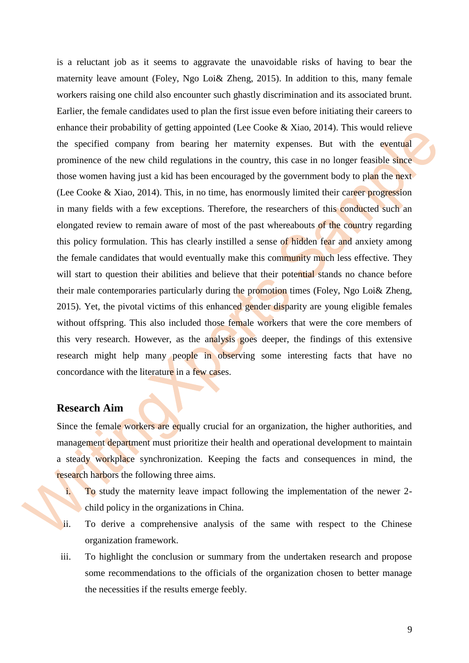is a reluctant job as it seems to aggravate the unavoidable risks of having to bear the maternity leave amount (Foley, Ngo Loi& Zheng, 2015). In addition to this, many female workers raising one child also encounter such ghastly discrimination and its associated brunt. Earlier, the female candidates used to plan the first issue even before initiating their careers to enhance their probability of getting appointed (Lee Cooke & Xiao, 2014). This would relieve the specified company from bearing her maternity expenses. But with the eventual prominence of the new child regulations in the country, this case in no longer feasible since those women having just a kid has been encouraged by the government body to plan the next (Lee Cooke & Xiao, 2014). This, in no time, has enormously limited their career progression in many fields with a few exceptions. Therefore, the researchers of this conducted such an elongated review to remain aware of most of the past whereabouts of the country regarding this policy formulation. This has clearly instilled a sense of hidden fear and anxiety among the female candidates that would eventually make this community much less effective. They will start to question their abilities and believe that their potential stands no chance before their male contemporaries particularly during the promotion times (Foley, Ngo Loi& Zheng, 2015). Yet, the pivotal victims of this enhanced gender disparity are young eligible females without offspring. This also included those female workers that were the core members of this very research. However, as the analysis goes deeper, the findings of this extensive research might help many people in observing some interesting facts that have no concordance with the literature in a few cases.

# <span id="page-8-0"></span>**Research Aim**

Since the female workers are equally crucial for an organization, the higher authorities, and management department must prioritize their health and operational development to maintain a steady workplace synchronization. Keeping the facts and consequences in mind, the research harbors the following three aims.

- i. To study the maternity leave impact following the implementation of the newer 2 child policy in the organizations in China.
- ii. To derive a comprehensive analysis of the same with respect to the Chinese organization framework.
- iii. To highlight the conclusion or summary from the undertaken research and propose some recommendations to the officials of the organization chosen to better manage the necessities if the results emerge feebly.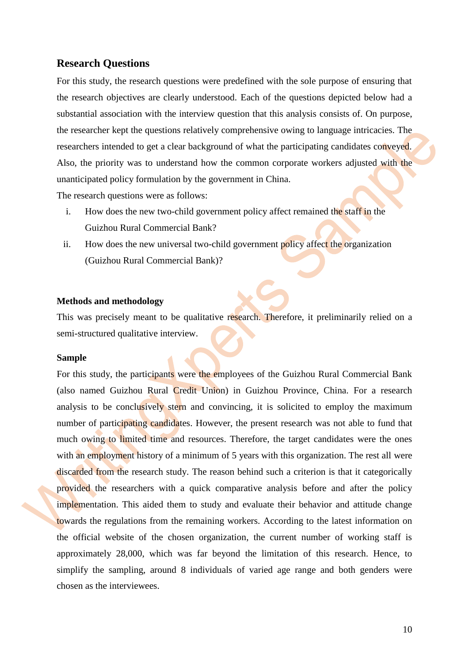# **Research Questions**

<span id="page-9-0"></span>For this study, the research questions were predefined with the sole purpose of ensuring that the research objectives are clearly understood. Each of the questions depicted below had a substantial association with the interview question that this analysis consists of. On purpose, the researcher kept the questions relatively comprehensive owing to language intricacies. The researchers intended to get a clear background of what the participating candidates conveyed. Also, the priority was to understand how the common corporate workers adjusted with the unanticipated policy formulation by the government in China.

The research questions were as follows:

- i. How does the new two-child government policy affect remained the staff in the Guizhou Rural Commercial Bank?
- ii. How does the new universal two-child government policy affect the organization (Guizhou Rural Commercial Bank)?

#### <span id="page-9-1"></span>**Methods and methodology**

This was precisely meant to be qualitative research. Therefore, it preliminarily relied on a semi-structured qualitative interview.

#### <span id="page-9-2"></span>**Sample**

For this study, the participants were the employees of the Guizhou Rural Commercial Bank (also named Guizhou Rural Credit Union) in Guizhou Province, China. For a research analysis to be conclusively stern and convincing, it is solicited to employ the maximum number of participating candidates. However, the present research was not able to fund that much owing to limited time and resources. Therefore, the target candidates were the ones with an employment history of a minimum of 5 years with this organization. The rest all were discarded from the research study. The reason behind such a criterion is that it categorically provided the researchers with a quick comparative analysis before and after the policy implementation. This aided them to study and evaluate their behavior and attitude change towards the regulations from the remaining workers. According to the latest information on the official website of the chosen organization, the current number of working staff is approximately 28,000, which was far beyond the limitation of this research. Hence, to simplify the sampling, around 8 individuals of varied age range and both genders were chosen as the interviewees.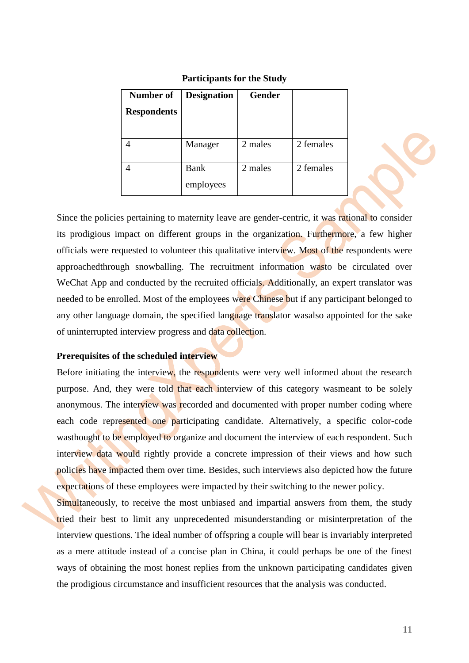| Number of<br><b>Respondents</b> | <b>Designation</b> | <b>Gender</b> |           |
|---------------------------------|--------------------|---------------|-----------|
|                                 | Manager            | 2 males       | 2 females |
|                                 | Bank<br>employees  | 2 males       | 2 females |

#### **Participants for the Study**

Since the policies pertaining to maternity leave are gender-centric, it was rational to consider its prodigious impact on different groups in the organization. Furthermore, a few higher officials were requested to volunteer this qualitative interview. Most of the respondents were approachedthrough snowballing. The recruitment information wasto be circulated over WeChat App and conducted by the recruited officials. Additionally, an expert translator was needed to be enrolled. Most of the employees were Chinese but if any participant belonged to any other language domain, the specified language translator wasalso appointed for the sake of uninterrupted interview progress and data collection.

## <span id="page-10-0"></span>**Prerequisites of the scheduled interview**

Before initiating the interview, the respondents were very well informed about the research purpose. And, they were told that each interview of this category wasmeant to be solely anonymous. The interview was recorded and documented with proper number coding where each code represented one participating candidate. Alternatively, a specific color-code wasthought to be employed to organize and document the interview of each respondent. Such interview data would rightly provide a concrete impression of their views and how such policies have impacted them over time. Besides, such interviews also depicted how the future expectations of these employees were impacted by their switching to the newer policy.

Simultaneously, to receive the most unbiased and impartial answers from them, the study tried their best to limit any unprecedented misunderstanding or misinterpretation of the interview questions. The ideal number of offspring a couple will bear is invariably interpreted as a mere attitude instead of a concise plan in China, it could perhaps be one of the finest ways of obtaining the most honest replies from the unknown participating candidates given the prodigious circumstance and insufficient resources that the analysis was conducted.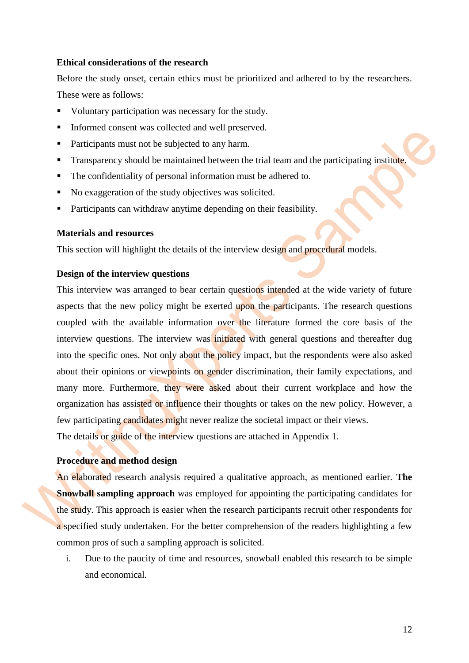#### <span id="page-11-0"></span>**Ethical considerations of the research**

Before the study onset, certain ethics must be prioritized and adhered to by the researchers. These were as follows:

- Voluntary participation was necessary for the study.
- Informed consent was collected and well preserved.
- Participants must not be subjected to any harm.
- **Transparency should be maintained between the trial team and the participating institute.**
- The confidentiality of personal information must be adhered to.
- No exaggeration of the study objectives was solicited.
- **Participants can withdraw anytime depending on their feasibility.**

### <span id="page-11-1"></span>**Materials and resources**

This section will highlight the details of the interview design and procedural models.

## <span id="page-11-2"></span>**Design of the interview questions**

This interview was arranged to bear certain questions intended at the wide variety of future aspects that the new policy might be exerted upon the participants. The research questions coupled with the available information over the literature formed the core basis of the interview questions. The interview was initiated with general questions and thereafter dug into the specific ones. Not only about the policy impact, but the respondents were also asked about their opinions or viewpoints on gender discrimination, their family expectations, and many more. Furthermore, they were asked about their current workplace and how the organization has assisted or influence their thoughts or takes on the new policy. However, a few participating candidates might never realize the societal impact or their views.

The details or guide of the interview questions are attached in Appendix 1.

# <span id="page-11-3"></span>**Procedure and method design**

An elaborated research analysis required a qualitative approach, as mentioned earlier. **The Snowball sampling approach** was employed for appointing the participating candidates for the study. This approach is easier when the research participants recruit other respondents for a specified study undertaken. For the better comprehension of the readers highlighting a few common pros of such a sampling approach is solicited.

i. Due to the paucity of time and resources, snowball enabled this research to be simple and economical.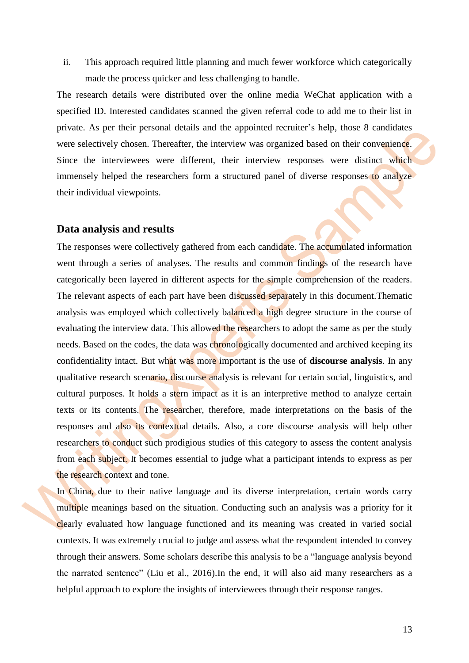ii. This approach required little planning and much fewer workforce which categorically made the process quicker and less challenging to handle.

The research details were distributed over the online media WeChat application with a specified ID. Interested candidates scanned the given referral code to add me to their list in private. As per their personal details and the appointed recruiter's help, those 8 candidates were selectively chosen. Thereafter, the interview was organized based on their convenience. Since the interviewees were different, their interview responses were distinct which immensely helped the researchers form a structured panel of diverse responses to analyze their individual viewpoints.

# <span id="page-12-0"></span>**Data analysis and results**

The responses were collectively gathered from each candidate. The accumulated information went through a series of analyses. The results and common findings of the research have categorically been layered in different aspects for the simple comprehension of the readers. The relevant aspects of each part have been discussed separately in this document.Thematic analysis was employed which collectively balanced a high degree structure in the course of evaluating the interview data. This allowed the researchers to adopt the same as per the study needs. Based on the codes, the data was chronologically documented and archived keeping its confidentiality intact. But what was more important is the use of **discourse analysis**. In any qualitative research scenario, discourse analysis is relevant for certain social, linguistics, and cultural purposes. It holds a stern impact as it is an interpretive method to analyze certain texts or its contents. The researcher, therefore, made interpretations on the basis of the responses and also its contextual details. Also, a core discourse analysis will help other researchers to conduct such prodigious studies of this category to assess the content analysis from each subject. It becomes essential to judge what a participant intends to express as per the research context and tone.

In China, due to their native language and its diverse interpretation, certain words carry multiple meanings based on the situation. Conducting such an analysis was a priority for it clearly evaluated how language functioned and its meaning was created in varied social contexts. It was extremely crucial to judge and assess what the respondent intended to convey through their answers. Some scholars describe this analysis to be a "language analysis beyond the narrated sentence" (Liu et al., 2016).In the end, it will also aid many researchers as a helpful approach to explore the insights of interviewees through their response ranges.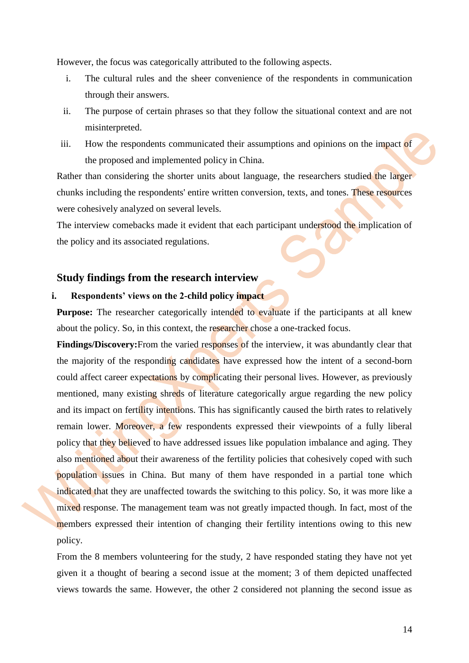However, the focus was categorically attributed to the following aspects.

- i. The cultural rules and the sheer convenience of the respondents in communication through their answers.
- ii. The purpose of certain phrases so that they follow the situational context and are not misinterpreted.
- iii. How the respondents communicated their assumptions and opinions on the impact of the proposed and implemented policy in China.

Rather than considering the shorter units about language, the researchers studied the larger chunks including the respondents' entire written conversion, texts, and tones. These resources were cohesively analyzed on several levels.

The interview comebacks made it evident that each participant understood the implication of the policy and its associated regulations.

## <span id="page-13-0"></span>**Study findings from the research interview**

## **i. Respondents' views on the 2-child policy impact**

**Purpose:** The researcher categorically intended to evaluate if the participants at all knew about the policy. So, in this context, the researcher chose a one-tracked focus.

**Findings/Discovery:**From the varied responses of the interview, it was abundantly clear that the majority of the responding candidates have expressed how the intent of a second-born could affect career expectations by complicating their personal lives. However, as previously mentioned, many existing shreds of literature categorically argue regarding the new policy and its impact on fertility intentions. This has significantly caused the birth rates to relatively remain lower. Moreover, a few respondents expressed their viewpoints of a fully liberal policy that they believed to have addressed issues like population imbalance and aging. They also mentioned about their awareness of the fertility policies that cohesively coped with such population issues in China. But many of them have responded in a partial tone which indicated that they are unaffected towards the switching to this policy. So, it was more like a mixed response. The management team was not greatly impacted though. In fact, most of the members expressed their intention of changing their fertility intentions owing to this new policy.

From the 8 members volunteering for the study, 2 have responded stating they have not yet given it a thought of bearing a second issue at the moment; 3 of them depicted unaffected views towards the same. However, the other 2 considered not planning the second issue as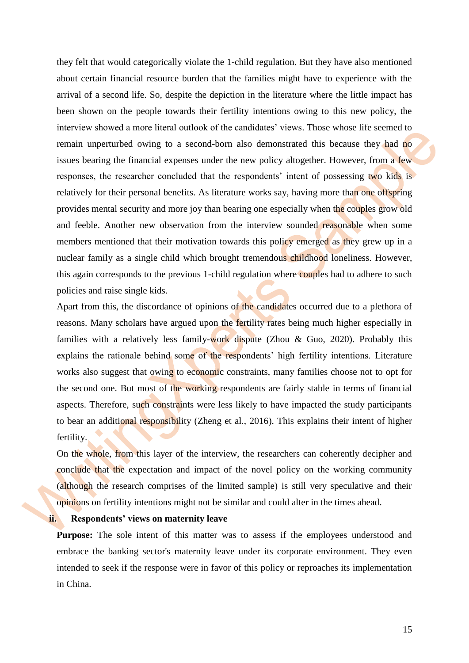they felt that would categorically violate the 1-child regulation. But they have also mentioned about certain financial resource burden that the families might have to experience with the arrival of a second life. So, despite the depiction in the literature where the little impact has been shown on the people towards their fertility intentions owing to this new policy, the interview showed a more literal outlook of the candidates' views. Those whose life seemed to remain unperturbed owing to a second-born also demonstrated this because they had no issues bearing the financial expenses under the new policy altogether. However, from a few responses, the researcher concluded that the respondents' intent of possessing two kids is relatively for their personal benefits. As literature works say, having more than one offspring provides mental security and more joy than bearing one especially when the couples grow old and feeble. Another new observation from the interview sounded reasonable when some members mentioned that their motivation towards this policy emerged as they grew up in a nuclear family as a single child which brought tremendous childhood loneliness. However, this again corresponds to the previous 1-child regulation where couples had to adhere to such policies and raise single kids.

Apart from this, the discordance of opinions of the candidates occurred due to a plethora of reasons. Many scholars have argued upon the fertility rates being much higher especially in families with a relatively less family-work dispute (Zhou & Guo, 2020). Probably this explains the rationale behind some of the respondents' high fertility intentions. Literature works also suggest that owing to economic constraints, many families choose not to opt for the second one. But most of the working respondents are fairly stable in terms of financial aspects. Therefore, such constraints were less likely to have impacted the study participants to bear an additional responsibility (Zheng et al., 2016). This explains their intent of higher fertility.

On the whole, from this layer of the interview, the researchers can coherently decipher and conclude that the expectation and impact of the novel policy on the working community (although the research comprises of the limited sample) is still very speculative and their opinions on fertility intentions might not be similar and could alter in the times ahead.

### **ii. Respondents' views on maternity leave**

**Purpose:** The sole intent of this matter was to assess if the employees understood and embrace the banking sector's maternity leave under its corporate environment. They even intended to seek if the response were in favor of this policy or reproaches its implementation in China.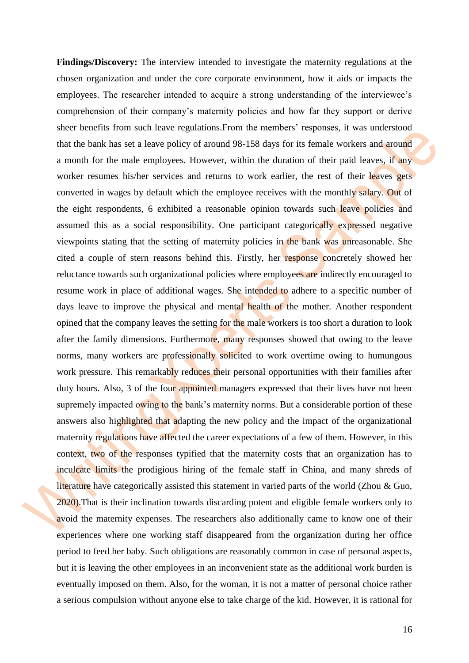**Findings/Discovery:** The interview intended to investigate the maternity regulations at the chosen organization and under the core corporate environment, how it aids or impacts the employees. The researcher intended to acquire a strong understanding of the interviewee's comprehension of their company's maternity policies and how far they support or derive sheer benefits from such leave regulations.From the members' responses, it was understood that the bank has set a leave policy of around 98-158 days for its female workers and around a month for the male employees. However, within the duration of their paid leaves, if any worker resumes his/her services and returns to work earlier, the rest of their leaves gets converted in wages by default which the employee receives with the monthly salary. Out of the eight respondents, 6 exhibited a reasonable opinion towards such leave policies and assumed this as a social responsibility. One participant categorically expressed negative viewpoints stating that the setting of maternity policies in the bank was unreasonable. She cited a couple of stern reasons behind this. Firstly, her response concretely showed her reluctance towards such organizational policies where employees are indirectly encouraged to resume work in place of additional wages. She intended to adhere to a specific number of days leave to improve the physical and mental health of the mother. Another respondent opined that the company leaves the setting for the male workers is too short a duration to look after the family dimensions. Furthermore, many responses showed that owing to the leave norms, many workers are professionally solicited to work overtime owing to humungous work pressure. This remarkably reduces their personal opportunities with their families after duty hours. Also, 3 of the four appointed managers expressed that their lives have not been supremely impacted owing to the bank's maternity norms. But a considerable portion of these answers also highlighted that adapting the new policy and the impact of the organizational maternity regulations have affected the career expectations of a few of them. However, in this context, two of the responses typified that the maternity costs that an organization has to inculcate limits the prodigious hiring of the female staff in China, and many shreds of literature have categorically assisted this statement in varied parts of the world (Zhou & Guo, 2020).That is their inclination towards discarding potent and eligible female workers only to avoid the maternity expenses. The researchers also additionally came to know one of their experiences where one working staff disappeared from the organization during her office period to feed her baby. Such obligations are reasonably common in case of personal aspects, but it is leaving the other employees in an inconvenient state as the additional work burden is eventually imposed on them. Also, for the woman, it is not a matter of personal choice rather a serious compulsion without anyone else to take charge of the kid. However, it is rational for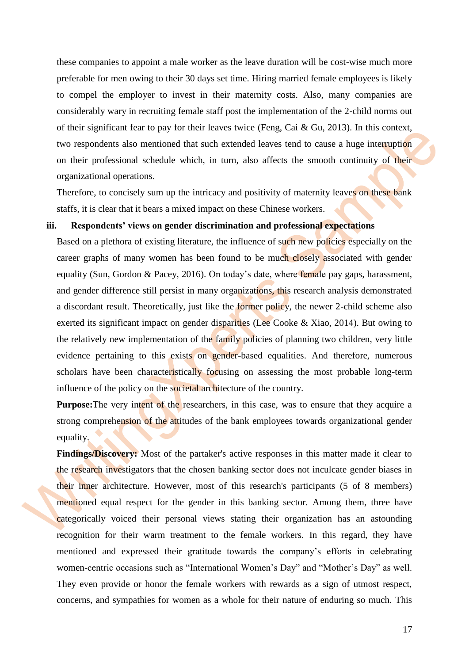these companies to appoint a male worker as the leave duration will be cost-wise much more preferable for men owing to their 30 days set time. Hiring married female employees is likely to compel the employer to invest in their maternity costs. Also, many companies are considerably wary in recruiting female staff post the implementation of the 2-child norms out of their significant fear to pay for their leaves twice (Feng, Cai & Gu, 2013). In this context, two respondents also mentioned that such extended leaves tend to cause a huge interruption on their professional schedule which, in turn, also affects the smooth continuity of their organizational operations.

Therefore, to concisely sum up the intricacy and positivity of maternity leaves on these bank staffs, it is clear that it bears a mixed impact on these Chinese workers.

## **iii. Respondents' views on gender discrimination and professional expectations**

Based on a plethora of existing literature, the influence of such new policies especially on the career graphs of many women has been found to be much closely associated with gender equality (Sun, Gordon & Pacey, 2016). On today's date, where female pay gaps, harassment, and gender difference still persist in many organizations, this research analysis demonstrated a discordant result. Theoretically, just like the former policy, the newer 2-child scheme also exerted its significant impact on gender disparities (Lee Cooke & Xiao, 2014). But owing to the relatively new implementation of the family policies of planning two children, very little evidence pertaining to this exists on gender-based equalities. And therefore, numerous scholars have been characteristically focusing on assessing the most probable long-term influence of the policy on the societal architecture of the country.

**Purpose:** The very intent of the researchers, in this case, was to ensure that they acquire a strong comprehension of the attitudes of the bank employees towards organizational gender equality.

Findings/Discovery: Most of the partaker's active responses in this matter made it clear to the research investigators that the chosen banking sector does not inculcate gender biases in their inner architecture. However, most of this research's participants (5 of 8 members) mentioned equal respect for the gender in this banking sector. Among them, three have categorically voiced their personal views stating their organization has an astounding recognition for their warm treatment to the female workers. In this regard, they have mentioned and expressed their gratitude towards the company's efforts in celebrating women-centric occasions such as "International Women's Day" and "Mother's Day" as well. They even provide or honor the female workers with rewards as a sign of utmost respect, concerns, and sympathies for women as a whole for their nature of enduring so much. This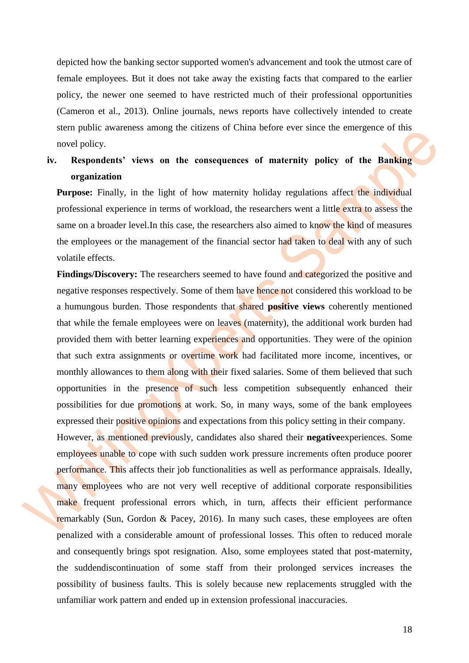depicted how the banking sector supported women's advancement and took the utmost care of female employees. But it does not take away the existing facts that compared to the earlier policy, the newer one seemed to have restricted much of their professional opportunities (Cameron et al., 2013). Online journals, news reports have collectively intended to create stern public awareness among the citizens of China before ever since the emergence of this novel policy.

# **iv. Respondents' views on the consequences of maternity policy of the Banking organization**

**Purpose:** Finally, in the light of how maternity holiday regulations affect the individual professional experience in terms of workload, the researchers went a little extra to assess the same on a broader level. In this case, the researchers also aimed to know the kind of measures the employees or the management of the financial sector had taken to deal with any of such volatile effects.

**Findings/Discovery:** The researchers seemed to have found and categorized the positive and negative responses respectively. Some of them have hence not considered this workload to be a humungous burden. Those respondents that shared **positive views** coherently mentioned that while the female employees were on leaves (maternity), the additional work burden had provided them with better learning experiences and opportunities. They were of the opinion that such extra assignments or overtime work had facilitated more income, incentives, or monthly allowances to them along with their fixed salaries. Some of them believed that such opportunities in the presence of such less competition subsequently enhanced their possibilities for due promotions at work. So, in many ways, some of the bank employees expressed their positive opinions and expectations from this policy setting in their company.

However, as mentioned previously, candidates also shared their **negative**experiences. Some employees unable to cope with such sudden work pressure increments often produce poorer performance. This affects their job functionalities as well as performance appraisals. Ideally, many employees who are not very well receptive of additional corporate responsibilities make frequent professional errors which, in turn, affects their efficient performance remarkably (Sun, Gordon & Pacey, 2016). In many such cases, these employees are often penalized with a considerable amount of professional losses. This often to reduced morale and consequently brings spot resignation. Also, some employees stated that post-maternity, the suddendiscontinuation of some staff from their prolonged services increases the possibility of business faults. This is solely because new replacements struggled with the unfamiliar work pattern and ended up in extension professional inaccuracies.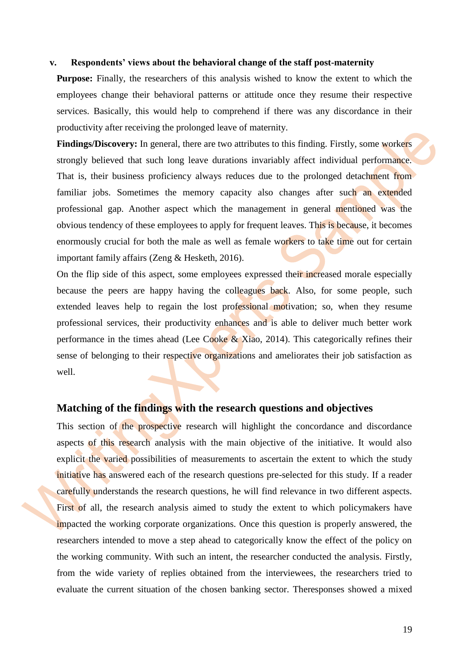#### **v. Respondents' views about the behavioral change of the staff post-maternity**

**Purpose:** Finally, the researchers of this analysis wished to know the extent to which the employees change their behavioral patterns or attitude once they resume their respective services. Basically, this would help to comprehend if there was any discordance in their productivity after receiving the prolonged leave of maternity.

**Findings/Discovery:** In general, there are two attributes to this finding. Firstly, some workers strongly believed that such long leave durations invariably affect individual performance. That is, their business proficiency always reduces due to the prolonged detachment from familiar jobs. Sometimes the memory capacity also changes after such an extended professional gap. Another aspect which the management in general mentioned was the obvious tendency of these employees to apply for frequent leaves. This is because, it becomes enormously crucial for both the male as well as female workers to take time out for certain important family affairs (Zeng & Hesketh, 2016).

On the flip side of this aspect, some employees expressed their increased morale especially because the peers are happy having the colleagues back. Also, for some people, such extended leaves help to regain the lost professional motivation; so, when they resume professional services, their productivity enhances and is able to deliver much better work performance in the times ahead (Lee Cooke  $\&$  Xiao, 2014). This categorically refines their sense of belonging to their respective organizations and ameliorates their job satisfaction as well.

### <span id="page-18-0"></span>**Matching of the findings with the research questions and objectives**

This section of the prospective research will highlight the concordance and discordance aspects of this research analysis with the main objective of the initiative. It would also explicit the varied possibilities of measurements to ascertain the extent to which the study initiative has answered each of the research questions pre-selected for this study. If a reader carefully understands the research questions, he will find relevance in two different aspects. First of all, the research analysis aimed to study the extent to which policymakers have impacted the working corporate organizations. Once this question is properly answered, the researchers intended to move a step ahead to categorically know the effect of the policy on the working community. With such an intent, the researcher conducted the analysis. Firstly, from the wide variety of replies obtained from the interviewees, the researchers tried to evaluate the current situation of the chosen banking sector. Theresponses showed a mixed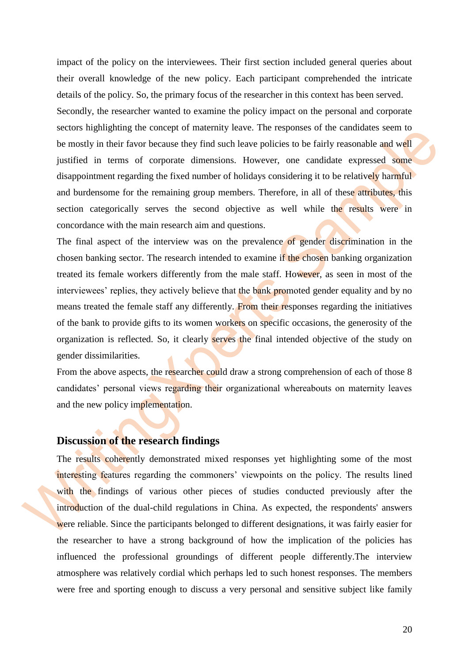impact of the policy on the interviewees. Their first section included general queries about their overall knowledge of the new policy. Each participant comprehended the intricate details of the policy. So, the primary focus of the researcher in this context has been served. Secondly, the researcher wanted to examine the policy impact on the personal and corporate sectors highlighting the concept of maternity leave. The responses of the candidates seem to be mostly in their favor because they find such leave policies to be fairly reasonable and well justified in terms of corporate dimensions. However, one candidate expressed some disappointment regarding the fixed number of holidays considering it to be relatively harmful and burdensome for the remaining group members. Therefore, in all of these attributes, this section categorically serves the second objective as well while the results were in concordance with the main research aim and questions.

The final aspect of the interview was on the prevalence of gender discrimination in the chosen banking sector. The research intended to examine if the chosen banking organization treated its female workers differently from the male staff. However, as seen in most of the interviewees' replies, they actively believe that the bank promoted gender equality and by no means treated the female staff any differently. From their responses regarding the initiatives of the bank to provide gifts to its women workers on specific occasions, the generosity of the organization is reflected. So, it clearly serves the final intended objective of the study on gender dissimilarities.

From the above aspects, the researcher could draw a strong comprehension of each of those 8 candidates' personal views regarding their organizational whereabouts on maternity leaves and the new policy implementation.

# <span id="page-19-0"></span>**Discussion of the research findings**

The results coherently demonstrated mixed responses yet highlighting some of the most interesting features regarding the commoners' viewpoints on the policy. The results lined with the findings of various other pieces of studies conducted previously after the introduction of the dual-child regulations in China. As expected, the respondents' answers were reliable. Since the participants belonged to different designations, it was fairly easier for the researcher to have a strong background of how the implication of the policies has influenced the professional groundings of different people differently.The interview atmosphere was relatively cordial which perhaps led to such honest responses. The members were free and sporting enough to discuss a very personal and sensitive subject like family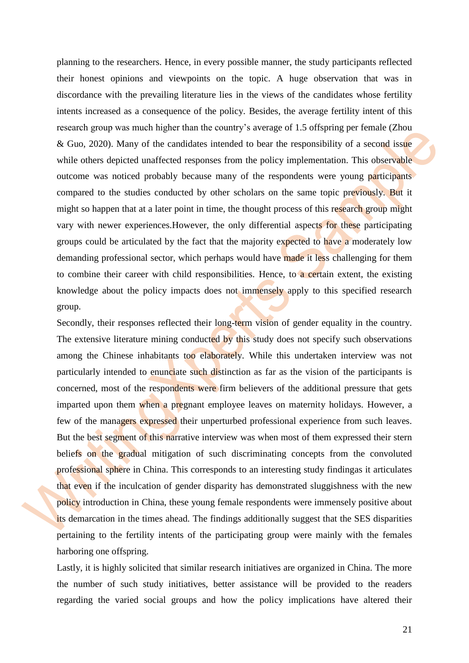planning to the researchers. Hence, in every possible manner, the study participants reflected their honest opinions and viewpoints on the topic. A huge observation that was in discordance with the prevailing literature lies in the views of the candidates whose fertility intents increased as a consequence of the policy. Besides, the average fertility intent of this research group was much higher than the country's average of 1.5 offspring per female (Zhou & Guo, 2020). Many of the candidates intended to bear the responsibility of a second issue while others depicted unaffected responses from the policy implementation. This observable outcome was noticed probably because many of the respondents were young participants compared to the studies conducted by other scholars on the same topic previously. But it might so happen that at a later point in time, the thought process of this research group might vary with newer experiences.However, the only differential aspects for these participating groups could be articulated by the fact that the majority expected to have a moderately low demanding professional sector, which perhaps would have made it less challenging for them to combine their career with child responsibilities. Hence, to a certain extent, the existing knowledge about the policy impacts does not immensely apply to this specified research group.

Secondly, their responses reflected their long-term vision of gender equality in the country. The extensive literature mining conducted by this study does not specify such observations among the Chinese inhabitants too elaborately. While this undertaken interview was not particularly intended to enunciate such distinction as far as the vision of the participants is concerned, most of the respondents were firm believers of the additional pressure that gets imparted upon them when a pregnant employee leaves on maternity holidays. However, a few of the managers expressed their unperturbed professional experience from such leaves. But the best segment of this narrative interview was when most of them expressed their stern beliefs on the gradual mitigation of such discriminating concepts from the convoluted professional sphere in China. This corresponds to an interesting study findingas it articulates that even if the inculcation of gender disparity has demonstrated sluggishness with the new policy introduction in China, these young female respondents were immensely positive about its demarcation in the times ahead. The findings additionally suggest that the SES disparities pertaining to the fertility intents of the participating group were mainly with the females harboring one offspring.

Lastly, it is highly solicited that similar research initiatives are organized in China. The more the number of such study initiatives, better assistance will be provided to the readers regarding the varied social groups and how the policy implications have altered their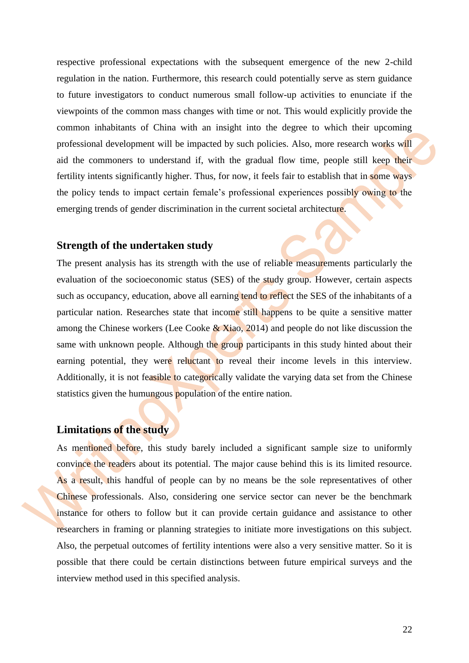respective professional expectations with the subsequent emergence of the new 2-child regulation in the nation. Furthermore, this research could potentially serve as stern guidance to future investigators to conduct numerous small follow-up activities to enunciate if the viewpoints of the common mass changes with time or not. This would explicitly provide the common inhabitants of China with an insight into the degree to which their upcoming professional development will be impacted by such policies. Also, more research works will aid the commoners to understand if, with the gradual flow time, people still keep their fertility intents significantly higher. Thus, for now, it feels fair to establish that in some ways the policy tends to impact certain female's professional experiences possibly owing to the emerging trends of gender discrimination in the current societal architecture.

# <span id="page-21-0"></span>**Strength of the undertaken study**

The present analysis has its strength with the use of reliable measurements particularly the evaluation of the socioeconomic status (SES) of the study group. However, certain aspects such as occupancy, education, above all earning tend to reflect the SES of the inhabitants of a particular nation. Researches state that income still happens to be quite a sensitive matter among the Chinese workers (Lee Cooke  $& Xiao, 2014$ ) and people do not like discussion the same with unknown people. Although the group participants in this study hinted about their earning potential, they were reluctant to reveal their income levels in this interview. Additionally, it is not feasible to categorically validate the varying data set from the Chinese statistics given the humungous population of the entire nation.

# <span id="page-21-1"></span>**Limitations of the study**

As mentioned before, this study barely included a significant sample size to uniformly convince the readers about its potential. The major cause behind this is its limited resource. As a result, this handful of people can by no means be the sole representatives of other Chinese professionals. Also, considering one service sector can never be the benchmark instance for others to follow but it can provide certain guidance and assistance to other researchers in framing or planning strategies to initiate more investigations on this subject. Also, the perpetual outcomes of fertility intentions were also a very sensitive matter. So it is possible that there could be certain distinctions between future empirical surveys and the interview method used in this specified analysis.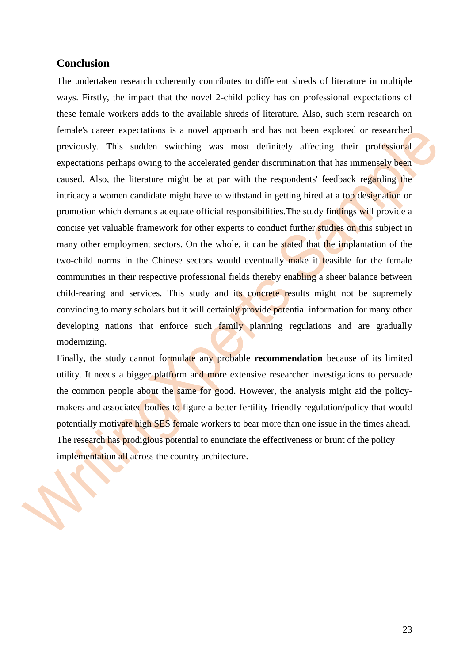# **Conclusion**

<span id="page-22-0"></span>The undertaken research coherently contributes to different shreds of literature in multiple ways. Firstly, the impact that the novel 2-child policy has on professional expectations of these female workers adds to the available shreds of literature. Also, such stern research on female's career expectations is a novel approach and has not been explored or researched previously. This sudden switching was most definitely affecting their professional expectations perhaps owing to the accelerated gender discrimination that has immensely been caused. Also, the literature might be at par with the respondents' feedback regarding the intricacy a women candidate might have to withstand in getting hired at a top designation or promotion which demands adequate official responsibilities.The study findings will provide a concise yet valuable framework for other experts to conduct further studies on this subject in many other employment sectors. On the whole, it can be stated that the implantation of the two-child norms in the Chinese sectors would eventually make it feasible for the female communities in their respective professional fields thereby enabling a sheer balance between child-rearing and services. This study and its concrete results might not be supremely convincing to many scholars but it will certainly provide potential information for many other developing nations that enforce such family planning regulations and are gradually modernizing.

Finally, the study cannot formulate any probable **recommendation** because of its limited utility. It needs a bigger platform and more extensive researcher investigations to persuade the common people about the same for good. However, the analysis might aid the policymakers and associated bodies to figure a better fertility-friendly regulation/policy that would potentially motivate high SES female workers to bear more than one issue in the times ahead. The research has prodigious potential to enunciate the effectiveness or brunt of the policy implementation all across the country architecture.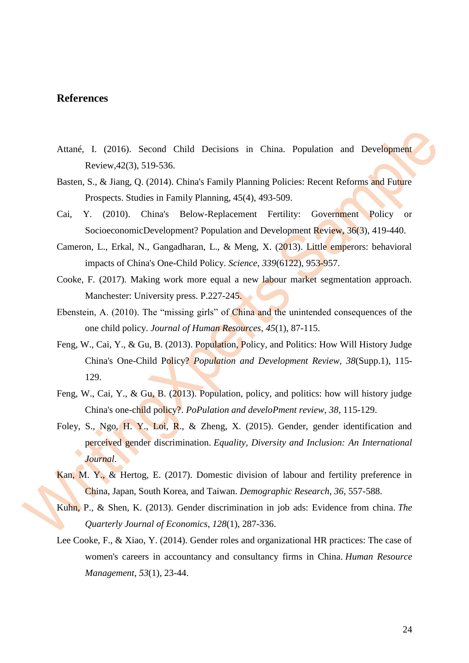# <span id="page-23-0"></span>**References**

- Attané, I. (2016). Second Child Decisions in China. Population and Development Review,42(3), 519-536.
- Basten, S., & Jiang, Q. (2014). China's Family Planning Policies: Recent Reforms and Future Prospects. Studies in Family Planning, 45(4), 493-509.
- Cai, Y. (2010). China's Below-Replacement Fertility: Government Policy or SocioeconomicDevelopment? Population and Development Review, 36(3), 419-440.
- Cameron, L., Erkal, N., Gangadharan, L., & Meng, X. (2013). Little emperors: behavioral impacts of China's One-Child Policy. *Science*, *339*(6122), 953-957.
- Cooke, F. (2017). Making work more equal a new labour market segmentation approach. Manchester: University press. P.227-245.
- Ebenstein, A. (2010). The "missing girls" of China and the unintended consequences of the one child policy. *Journal of Human Resources*, *45*(1), 87-115.
- Feng, W., Cai, Y., & Gu, B. (2013). Population, Policy, and Politics: How Will History Judge China's One-Child Policy? *Population and Development Review, 38*(Supp.1), 115- 129.
- Feng, W., Cai, Y., & Gu, B. (2013). Population, policy, and politics: how will history judge China's one-child policy?. *PoPulation and develoPment review*, *38*, 115-129.
- Foley, S., Ngo, H. Y., Loi, R., & Zheng, X. (2015). Gender, gender identification and perceived gender discrimination. *Equality, Diversity and Inclusion: An International Journal*.
- Kan, M. Y., & Hertog, E. (2017). Domestic division of labour and fertility preference in China, Japan, South Korea, and Taiwan. *Demographic Research*, *36*, 557-588.
- Kuhn, P., & Shen, K. (2013). Gender discrimination in job ads: Evidence from china. *The Quarterly Journal of Economics*, *128*(1), 287-336.
- Lee Cooke, F., & Xiao, Y. (2014). Gender roles and organizational HR practices: The case of women's careers in accountancy and consultancy firms in China. *Human Resource Management*, *53*(1), 23-44.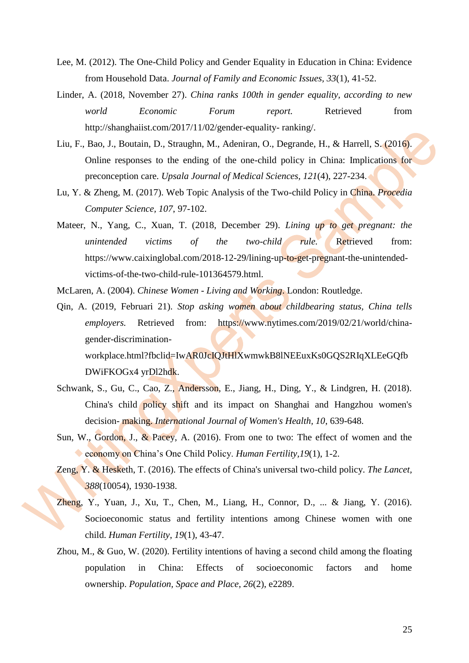- Lee, M. (2012). The One-Child Policy and Gender Equality in Education in China: Evidence from Household Data. *Journal of Family and Economic Issues, 33*(1), 41-52.
- Linder, A. (2018, November 27). *China ranks 100th in gender equality, according to new world Economic Forum report.* Retrieved from http://shanghaiist.com/2017/11/02/gender-equality- ranking/.
- Liu, F., Bao, J., Boutain, D., Straughn, M., Adeniran, O., Degrande, H., & Harrell, S. (2016). Online responses to the ending of the one-child policy in China: Implications for preconception care. *Upsala Journal of Medical Sciences, 121*(4), 227-234.
- Lu, Y. & Zheng, M. (2017). Web Topic Analysis of the Two-child Policy in China. *Procedia Computer Science, 107*, 97-102.
- Mateer, N., Yang, C., Xuan, T. (2018, December 29). *Lining up to get pregnant: the unintended victims of the two-child rule.* Retrieved from: https://www.caixinglobal.com/2018-12-29/lining-up-to-get-pregnant-the-unintendedvictims-of-the-two-child-rule-101364579.html.

McLaren, A. (2004). *Chinese Women - Living and Working*. London: Routledge.

Qin, A. (2019, Februari 21). *Stop asking women about childbearing status, China tells employers.* Retrieved from: https://www.nytimes.com/2019/02/21/world/chinagender-discrimination-

workplace.html?fbclid=IwAR0JcIQJtHlXwmwkB8lNEEuxKs0GQS2RIqXLEeGQfb DWiFKOGx4 yrDl2hdk.

- Schwank, S., Gu, C., Cao, Z., Andersson, E., Jiang, H., Ding, Y., & Lindgren, H. (2018). China's child policy shift and its impact on Shanghai and Hangzhou women's decision- making. *International Journal of Women's Health, 10*, 639-648.
- Sun, W., Gordon, J., & Pacey, A. (2016). From one to two: The effect of women and the economy on China's One Child Policy. *Human Fertility, 19*(1), 1-2.
- Zeng, Y. & Hesketh, T. (2016). The effects of China's universal two-child policy. *The Lancet, 388*(10054), 1930-1938.
- Zheng, Y., Yuan, J., Xu, T., Chen, M., Liang, H., Connor, D., ... & Jiang, Y. (2016). Socioeconomic status and fertility intentions among Chinese women with one child. *Human Fertility*, *19*(1), 43-47.
- Zhou, M., & Guo, W. (2020). Fertility intentions of having a second child among the floating population in China: Effects of socioeconomic factors and home ownership. *Population, Space and Place*, *26*(2), e2289.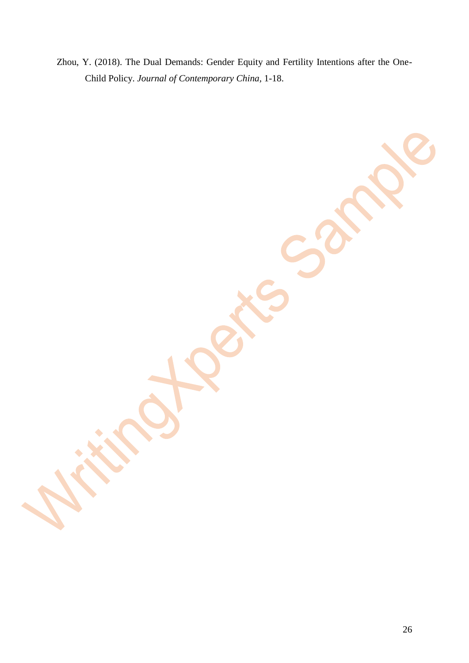Zhou, Y. (2018). The Dual Demands: Gender Equity and Fertility Intentions after the One-Child Policy. *Journal of Contemporary China,* 1-18.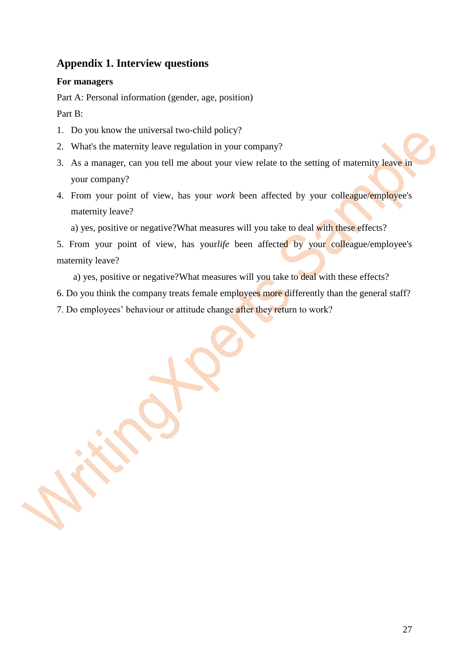# **Appendix 1. Interview questions**

# <span id="page-26-0"></span>**For managers**

Part A: Personal information (gender, age, position)

Part B:

- 1. Do you know the universal two-child policy?
- 2. What's the maternity leave regulation in your company?
- 3. As a manager, can you tell me about your view relate to the setting of maternity leave in your company?
- 4. From your point of view, has your *work* been affected by your colleague/employee's maternity leave?

a) yes, positive or negative?What measures will you take to deal with these effects?

5. From your point of view, has your*life* been affected by your colleague/employee's maternity leave?

a) yes, positive or negative?What measures will you take to deal with these effects?

- 6. Do you think the company treats female employees more differently than the general staff?
- 7. Do employees' behaviour or attitude change after they return to work?